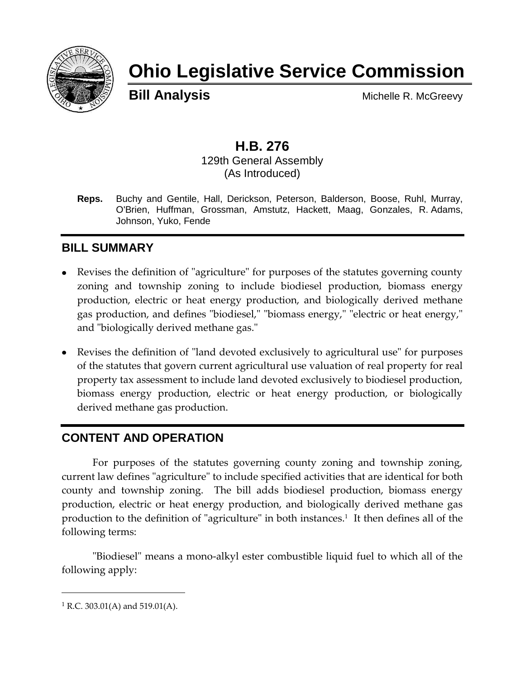

# **Ohio Legislative Service Commission**

**Bill Analysis** Michelle R. McGreevy

## **H.B. 276**

129th General Assembly (As Introduced)

**Reps.** Buchy and Gentile, Hall, Derickson, Peterson, Balderson, Boose, Ruhl, Murray, O'Brien, Huffman, Grossman, Amstutz, Hackett, Maag, Gonzales, R. Adams, Johnson, Yuko, Fende

#### **BILL SUMMARY**

- Revises the definition of "agriculture" for purposes of the statutes governing county zoning and township zoning to include biodiesel production, biomass energy production, electric or heat energy production, and biologically derived methane gas production, and defines "biodiesel," "biomass energy," "electric or heat energy," and "biologically derived methane gas."
- Revises the definition of "land devoted exclusively to agricultural use" for purposes of the statutes that govern current agricultural use valuation of real property for real property tax assessment to include land devoted exclusively to biodiesel production, biomass energy production, electric or heat energy production, or biologically derived methane gas production.

#### **CONTENT AND OPERATION**

For purposes of the statutes governing county zoning and township zoning, current law defines "agriculture" to include specified activities that are identical for both county and township zoning. The bill adds biodiesel production, biomass energy production, electric or heat energy production, and biologically derived methane gas production to the definition of "agriculture" in both instances.<sup>1</sup> It then defines all of the following terms:

"Biodiesel" means a mono-alkyl ester combustible liquid fuel to which all of the following apply:

 $\overline{a}$ 

<sup>&</sup>lt;sup>1</sup> R.C. 303.01(A) and 519.01(A).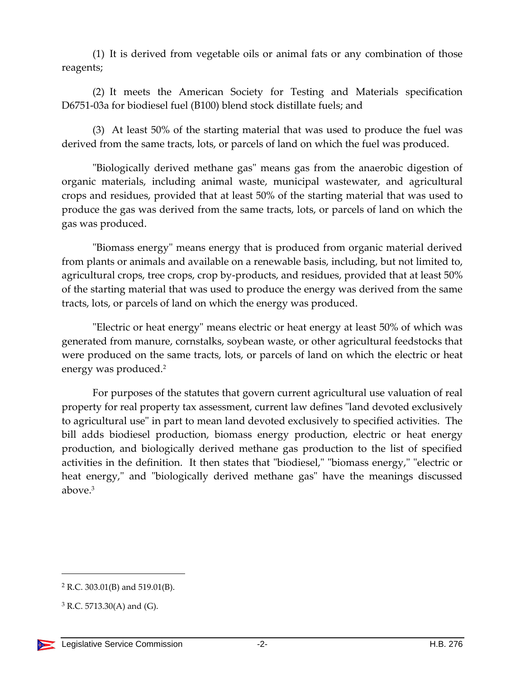(1) It is derived from vegetable oils or animal fats or any combination of those reagents;

(2) It meets the American Society for Testing and Materials specification D6751-03a for biodiesel fuel (B100) blend stock distillate fuels; and

(3) At least 50% of the starting material that was used to produce the fuel was derived from the same tracts, lots, or parcels of land on which the fuel was produced.

"Biologically derived methane gas" means gas from the anaerobic digestion of organic materials, including animal waste, municipal wastewater, and agricultural crops and residues, provided that at least 50% of the starting material that was used to produce the gas was derived from the same tracts, lots, or parcels of land on which the gas was produced.

"Biomass energy" means energy that is produced from organic material derived from plants or animals and available on a renewable basis, including, but not limited to, agricultural crops, tree crops, crop by-products, and residues, provided that at least 50% of the starting material that was used to produce the energy was derived from the same tracts, lots, or parcels of land on which the energy was produced.

"Electric or heat energy" means electric or heat energy at least 50% of which was generated from manure, cornstalks, soybean waste, or other agricultural feedstocks that were produced on the same tracts, lots, or parcels of land on which the electric or heat energy was produced.<sup>2</sup>

For purposes of the statutes that govern current agricultural use valuation of real property for real property tax assessment, current law defines "land devoted exclusively to agricultural use" in part to mean land devoted exclusively to specified activities. The bill adds biodiesel production, biomass energy production, electric or heat energy production, and biologically derived methane gas production to the list of specified activities in the definition. It then states that "biodiesel," "biomass energy," "electric or heat energy," and "biologically derived methane gas" have the meanings discussed above.<sup>3</sup>

 $\overline{a}$ 

<sup>2</sup> R.C. 303.01(B) and 519.01(B).

 $3$  R.C. 5713.30(A) and (G).